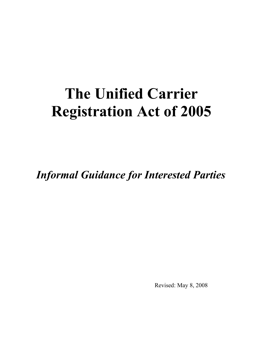# **The Unified Carrier Registration Act of 2005**

*Informal Guidance for Interested Parties*

Revised: May 8, 2008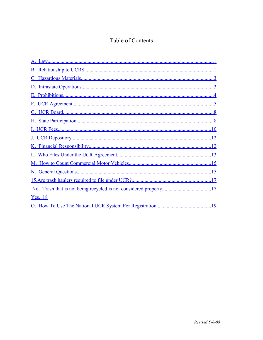## Table of Contents

| <b>Yes.</b> 18 |  |
|----------------|--|
|                |  |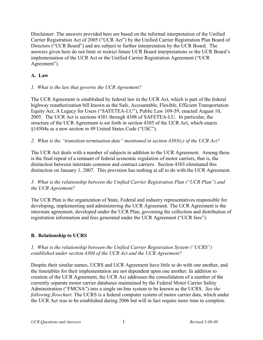Disclaimer: The answers provided here are based on the informal interpretation of the Unified Carrier Registration Act of 2005 ("UCR Act") by the Unified Carrier Registration Plan Board of Directors ("UCR Board") and are subject to further interpretation by the UCR Board. The answers given here do not limit or restrict future UCR Board interpretations or the UCR Board's implementation of the UCR Act or the Unified Carrier Registration Agreement ("UCR Agreement").

## <span id="page-2-0"></span>**A. Law**

#### *1. What is the law that governs the UCR Agreement?*

The UCR Agreement is established by federal law in the UCR Act, which is part of the federal highway reauthorization bill known as the Safe, Accountable, Flexible, Efficient Transportation Equity Act, A Legacy for Users ("SAFETEA-LU"), Public Law 109-59, enacted August 10, 2005. The UCR Act is sections 4301 through 4308 of SAFETEA-LU. In particular, the structure of the UCR Agreement is set forth in section 4305 of the UCR Act, which enacts §14504a as a new section in 49 United States Code ("USC").

*2. What is the "transition termination date" mentioned in section 4303(c) of the UCR Act?*

The UCR Act deals with a number of subjects in addition to the UCR Agreement. Among these is the final repeal of a remnant of federal economic regulation of motor carriers, that is, the distinction between interstate common and contract carriers. Section 4303 eliminated this distinction on January 1, 2007. This provision has nothing at all to do with the UCR Agreement.

#### *3. What is the relationship between the Unified Carrier Registration Plan ("UCR Plan") and the UCR Agreement?*

The UCR Plan is the organization of State, Federal and industry representatives responsible for developing, implementing and administering the UCR Agreement. The UCR Agreement is the interstate agreement, developed under the UCR Plan, governing the collection and distribution of registration information and fees generated under the UCR Agreement ("UCR fees").

## <span id="page-2-1"></span>**B. Relationship to UCRS**

## *1. What is the relationship between the Unified Carrier Registration System ("UCRS") established under section 4304 of the UCR Act and the UCR Agreement?*

Despite their similar names, UCRS and UCR Agreement have little to do with one another, and the timetables for their implementation are not dependent upon one another. In addition to creation of the UCR Agreement, the UCR Act addresses the consolidation of a number of the currently separate motor carrier databases maintained by the Federal Motor Carrier Safety Administration ("FMCSA") into a single on-line system to be known as the UCRS. *See the following flowchart.* The UCRS is a federal computer system of motor carrier data, which under the UCR Act was to be established during 2006 but will in fact require more time to complete.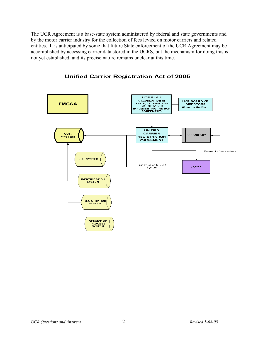The UCR Agreement is a base-state system administered by federal and state governments and by the motor carrier industry for the collection of fees levied on motor carriers and related entities. It is anticipated by some that future State enforcement of the UCR Agreement may be accomplished by accessing carrier data stored in the UCRS, but the mechanism for doing this is not yet established, and its precise nature remains unclear at this time.



## **Unified Carrier Registration Act of 2005**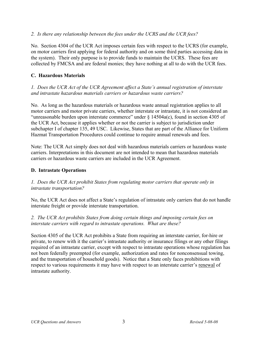#### *2. Is there any relationship between the fees under the UCRS and the UCR fees?*

No. Section 4304 of the UCR Act imposes certain fees with respect to the UCRS (for example, on motor carriers first applying for federal authority and on some third parties accessing data in the system). Their only purpose is to provide funds to maintain the UCRS. These fees are collected by FMCSA and are federal monies; they have nothing at all to do with the UCR fees.

#### <span id="page-4-1"></span>**C. Hazardous Materials**

*1. Does the UCR Act of the UCR Agreement affect a State's annual registration of interstate and intrastate hazardous materials carriers or hazardous waste carriers?*

No. As long as the hazardous materials or hazardous waste annual registration applies to all motor carriers and motor private carriers, whether interstate or intrastate, it is not considered an "unreasonable burden upon interstate commerce" under § 14504a(c), found in section 4305 of the UCR Act, because it applies whether or not the carrier is subject to jurisdiction under subchapter I of chapter 135, 49 USC. Likewise, States that are part of the Alliance for Uniform Hazmat Transportation Procedures could continue to require annual renewals and fees.

Note: The UCR Act simply does not deal with hazardous materials carriers or hazardous waste carriers. Interpretations in this document are not intended to mean that hazardous materials carriers or hazardous waste carriers are included in the UCR Agreement.

#### <span id="page-4-0"></span>**D. Intrastate Operations**

#### *1. Does the UCR Act prohibit States from regulating motor carriers that operate only in intrastate transportation?*

No, the UCR Act does not affect a State's regulation of intrastate only carriers that do not handle interstate freight or provide interstate transportation.

#### *2. The UCR Act prohibits States from doing certain things and imposing certain fees on interstate carriers with regard to intrastate operations. What are these?*

Section 4305 of the UCR Act prohibits a State from requiring an interstate carrier, for-hire or private, to renew with it the carrier's intrastate authority or insurance filings or any other filings required of an intrastate carrier, except with respect to intrastate operations whose regulation has not been federally preempted (for example, authorization and rates for nonconsensual towing, and the transportation of household goods). Notice that a State only faces prohibitions with respect to various requirements it may have with respect to an interstate carrier's renewal of intrastate authority.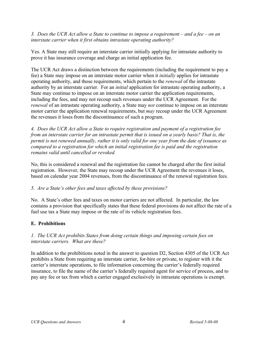*3. Does the UCR Act allow a State to continue to impose a requirement – and a fee – on an interstate carrier when it first obtains intrastate operating authority?*

Yes. A State may still require an interstate carrier initially applying for intrastate authority to prove it has insurance coverage and charge an initial application fee.

The UCR Act draws a distinction between the requirements (including the requirement to pay a fee) a State may impose on an interstate motor carrier when it *initially* applies for intrastate operating authority, and those requirements, which pertain to the *renewal* of the intrastate authority by an interstate carrier. For an *initial* application for intrastate operating authority, a State may continue to impose on an interstate motor carrier the application requirements, including the fees, and may not recoup such revenues under the UCR Agreement. For the *renewal* of an intrastate operating authority, a State may *not* continue to impose on an interstate motor carrier the application renewal requirements, but *may* recoup under the UCR Agreement the revenues it loses from the discontinuance of such a program.

*4. Does the UCR Act allow a State to require registration and payment of a registration fee from an interstate carrier for an intrastate permit that is issued on a yearly basis? That is, the permit is not renewed annually, rather it is only valid for one year from the date of issuance as compared to a registration for which an initial registration fee is paid and the registration remains valid until cancelled or revoked.*

No, this is considered a renewal and the registration fee cannot be charged after the first initial registration. However, the State may recoup under the UCR Agreement the revenues it loses, based on calendar year 2004 revenues, from the discontinuance of the renewal registration fees.

#### *5. Are a State's other fees and taxes affected by these provisions?*

No. A State's other fees and taxes on motor carriers are not affected. In particular, the law contains a provision that specifically states that these federal provisions do not affect the rate of a fuel use tax a State may impose or the rate of its vehicle registration fees.

## <span id="page-5-0"></span>**E. Prohibitions**

#### *1. The UCR Act prohibits States from doing certain things and imposing certain fees on interstate carriers. What are these?*

In addition to the prohibitions noted in the answer to question D2, Section 4305 of the UCR Act prohibits a State from requiring an interstate carrier, for-hire or private, to register with it the carrier's interstate operations, to file information concerning the carrier's federally required insurance, to file the name of the carrier's federally required agent for service of process, and to pay any fee or tax from which a carrier engaged exclusively in intrastate operations is exempt.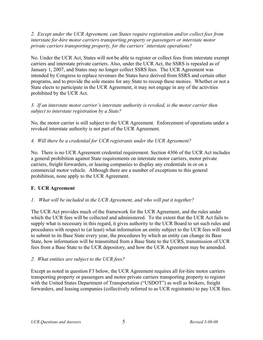*2. Except under the UCR Agreement, can States require registration and/or collect fees from interstate for-hire motor carriers transporting property or passengers or interstate motor private carriers transporting property, for the carriers' interstate operations?*

No. Under the UCR Act, States will not be able to register or collect fees from interstate exempt carriers and interstate private carriers. Also, under the UCR Act, the SSRS is repealed as of January 1, 2007, and States may no longer collect SSRS fees. The UCR Agreement was intended by Congress to replace revenues the States have derived from SSRS and certain other programs, and to provide the sole means for any State to recoup these monies. Whether or not a State elects to participate in the UCR Agreement, it may not engage in any of the activities prohibited by the UCR Act.

*3. If an interstate motor carrier's interstate authority is revoked, is the motor carrier then subject to interstate registration by a State?*

No, the motor carrier is still subject to the UCR Agreement. Enforcement of operations under a revoked interstate authority is not part of the UCR Agreement.

*4. Will there be a credential for UCR registrants under the UCR Agreement?*

No. There is no UCR Agreement credential requirement. Section 4306 of the UCR Act includes a general prohibition against State requirements on interstate motor carriers, motor private carriers, freight forwarders, or leasing companies to display any credentials in or on a commercial motor vehicle. Although there are a number of exceptions to this general prohibition, none apply to the UCR Agreement.

## <span id="page-6-0"></span>**F. UCR Agreement**

## *1. What will be included in the UCR Agreement, and who will put it together?*

The UCR Act provides much of the framework for the UCR Agreement, and the rules under which the UCR fees will be collected and administered. To the extent that the UCR Act fails to supply what is necessary in this regard, it gives authority to the UCR Board to set such rules and procedures with respect to (at least) what information an entity subject to the UCR fees will need to submit to its Base State every year, the procedures by which an entity can change its Base State, how information will be transmitted from a Base State to the UCRS, transmission of UCR fees from a Base State to the UCR depository, and how the UCR Agreement may be amended.

## *2. What entities are subject to the UCR fees?*

Except as noted in question F3 below, the UCR Agreement requires all for-hire motor carriers transporting property or passengers and motor private carriers transporting property to register with the United States Department of Transportation ("USDOT") as well as brokers, freight forwarders, and leasing companies (collectively referred to as UCR registrants) to pay UCR fees.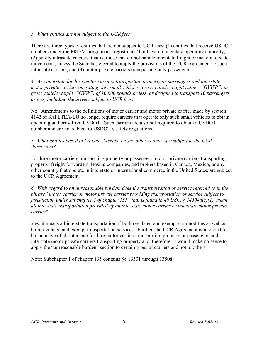#### *3. What entities are not subject to the UCR fees?*

There are three types of entities that are not subject to UCR fees: (1) entities that receive USDOT numbers under the PRISM program as "registrants" but have no interstate operating authority; (2) purely intrastate carriers, that is, those that do not handle interstate freight or make interstate movements, unless the State has elected to apply the provisions of the UCR Agreement to such intrastate carriers; and (3) motor private carriers transporting only passengers.

*4. Are interstate for-hire motor carriers transporting property or passengers and interstate motor private carriers operating only small vehicles (gross vehicle weight rating ("GVWR") or gross vehicle weight ("GVW") of 10,000 pounds or less, or designed to transport 10 passengers or less, including the driver) subject to UCR fees?*

No. Amendments to the definitions of motor carrier and motor private carrier made by section 4142 of SAFETEA-LU no longer require carriers that operate only such small vehicles to obtain operating authority from USDOT. Such carriers are also not required to obtain a USDOT number and are not subject to USDOT's safety regulations.

#### *5. What entities based in Canada, Mexico, or any other country are subject to the UCR Agreement?*

For-hire motor carriers transporting property or passengers, motor private carriers transporting property, freight forwarders, leasing companies, and brokers based in Canada, Mexico, or any other country that operate in interstate or international commerce in the United States, are subject to the UCR Agreement.

*6. With regard to an unreasonable burden, does the transportation or service referred to in the phrase "motor carrier or motor private carrier providing transportation or service subject to jurisdiction under subchapter 1 of chapter 135" that is found in 49 USC, § 14504a(c)(1), mean all interstate transportation provided by an interstate motor carrier or interstate motor private carrier?*

Yes, it means all interstate transportation of both regulated and exempt commodities as well as both regulated and exempt transportation services. Further, the UCR Agreement is intended to be inclusive of all interstate for-hire motor carriers transporting property or passengers and interstate motor private carriers transporting property and, therefore, it would make no sense to apply the "unreasonable burden" section to certain types of carriers and not to others.

Note: Subchapter 1 of chapter 135 contains §§ 13501 through 13508.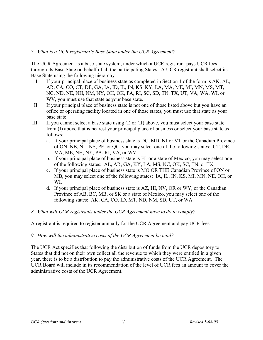#### *7. What is a UCR registrant's Base State under the UCR Agreement?*

The UCR Agreement is a base-state system, under which a UCR registrant pays UCR fees through its Base State on behalf of all the participating States. A UCR registrant shall select its Base State using the following hierarchy:

- I. If your principal place of business state as completed in Section 1 of the form is AK, AL, AR, CA, CO, CT, DE, GA, IA, ID, IL, IN, KS, KY, LA, MA, ME, MI, MN, MS, MT, NC, ND, NE, NH, NM, NY, OH, OK, PA, RI, SC, SD, TN, TX, UT, VA, WA, WI, or WV, you must use that state as your base state.
- II. If your principal place of business state is not one of those listed above but you have an office or operating facility located in one of those states, you must use that state as your base state.
- III. If you cannot select a base state using (I) or (II) above, you must select your base state from (I) above that is nearest your principal place of business or select your base state as follows:
	- a. If your principal place of business state is DC, MD, NJ or VT or the Canadian Province of ON, NB, NL, NS, PE, or QC, you may select one of the following states: CT, DE, MA, ME, NH, NY, PA, RI, VA, or WV.
	- b. If your principal place of business state is FL or a state of Mexico, you may select one of the following states: AL, AR, GA, KY, LA, MS, NC, OK, SC, TN, or TX.
	- c. If your principal place of business state is MO OR THE Canadian Province of ON or MB, you may select one of the following states: IA, IL, IN, KS, MI, MN, NE, OH, or WI.
	- d. If your principal place of business state is AZ, HI, NV, OR or WY, or the Canadian Province of AB, BC, MB, or SK or a state of Mexico, you may select one of the following states: AK, CA, CO, ID, MT, ND, NM, SD, UT, or WA.
- *8. What will UCR registrants under the UCR Agreement have to do to comply?*

A registrant is required to register annually for the UCR Agreement and pay UCR fees.

#### *9. How will the administrative costs of the UCR Agreement be paid?*

The UCR Act specifies that following the distribution of funds from the UCR depository to States that did not on their own collect all the revenue to which they were entitled in a given year, there is to be a distribution to pay the administrative costs of the UCR Agreement. The UCR Board will include in its recommendation of the level of UCR fees an amount to cover the administrative costs of the UCR Agreement.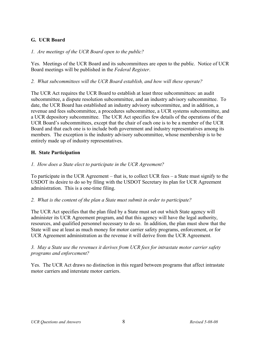## <span id="page-9-1"></span>**G. UCR Board**

#### *1. Are meetings of the UCR Board open to the public?*

Yes. Meetings of the UCR Board and its subcommittees are open to the public. Notice of UCR Board meetings will be published in the *Federal Register*.

*2. What subcommittees will the UCR Board establish, and how will these operate?*

The UCR Act requires the UCR Board to establish at least three subcommittees: an audit subcommittee, a dispute resolution subcommittee, and an industry advisory subcommittee. To date, the UCR Board has established an industry advisory subcommittee, and in addition, a revenue and fees subcommittee, a procedures subcommittee, a UCR systems subcommittee, and a UCR depository subcommittee. The UCR Act specifies few details of the operations of the UCR Board's subcommittees, except that the chair of each one is to be a member of the UCR Board and that each one is to include both government and industry representatives among its members. The exception is the industry advisory subcommittee, whose membership is to be entirely made up of industry representatives.

#### <span id="page-9-0"></span>**H. State Participation**

#### *1. How does a State elect to participate in the UCR Agreement?*

To participate in the UCR Agreement – that is, to collect UCR fees – a State must signify to the USDOT its desire to do so by filing with the USDOT Secretary its plan for UCR Agreement administration. This is a one-time filing.

#### *2. What is the content of the plan a State must submit in order to participate?*

The UCR Act specifies that the plan filed by a State must set out which State agency will administer its UCR Agreement program, and that this agency will have the legal authority, resources, and qualified personnel necessary to do so. In addition, the plan must show that the State will use at least as much money for motor carrier safety programs, enforcement, or for UCR Agreement administration as the revenue it will derive from the UCR Agreement.

#### *3. May a State use the revenues it derives from UCR fees for intrastate motor carrier safety programs and enforcement?*

Yes. The UCR Act draws no distinction in this regard between programs that affect intrastate motor carriers and interstate motor carriers.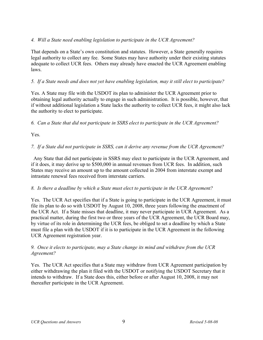## *4. Will a State need enabling legislation to participate in the UCR Agreement?*

That depends on a State's own constitution and statutes. However, a State generally requires legal authority to collect any fee. Some States may have authority under their existing statutes adequate to collect UCR fees. Others may already have enacted the UCR Agreement enabling laws.

#### *5. If a State needs and does not yet have enabling legislation, may it still elect to participate?*

Yes. A State may file with the USDOT its plan to administer the UCR Agreement prior to obtaining legal authority actually to engage in such administration. It is possible, however, that if without additional legislation a State lacks the authority to collect UCR fees, it might also lack the authority to elect to participate.

#### *6. Can a State that did not participate in SSRS elect to participate in the UCR Agreement?*

Yes.

## *7. If a State did not participate in SSRS, can it derive any revenue from the UCR Agreement?*

 Any State that did not participate in SSRS may elect to participate in the UCR Agreement, and if it does, it may derive up to \$500,000 in annual revenues from UCR fees. In addition, such States may receive an amount up to the amount collected in 2004 from interstate exempt and intrastate renewal fees received from interstate carriers.

#### *8. Is there a deadline by which a State must elect to participate in the UCR Agreement?*

Yes. The UCR Act specifies that if a State is going to participate in the UCR Agreement, it must file its plan to do so with USDOT by August 10, 2008, three years following the enactment of the UCR Act. If a State misses that deadline, it may never participate in UCR Agreement. As a practical matter, during the first two or three years of the UCR Agreement, the UCR Board may, by virtue of its role in determining the UCR fees, be obliged to set a deadline by which a State must file a plan with the USDOT if it is to participate in the UCR Agreement in the following UCR Agreement registration year.

#### *9. Once it elects to participate, may a State change its mind and withdraw from the UCR Agreement?*

Yes. The UCR Act specifies that a State may withdraw from UCR Agreement participation by either withdrawing the plan it filed with the USDOT or notifying the USDOT Secretary that it intends to withdraw. If a State does this, either before or after August 10, 2008, it may not thereafter participate in the UCR Agreement.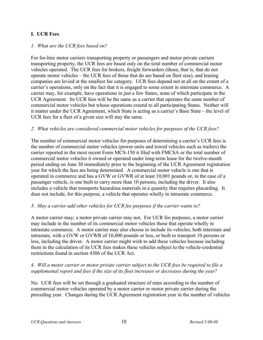## <span id="page-11-0"></span>**I. UCR Fees**

#### *1. What are the UCR fees based on?*

For for-hire motor carriers transporting property or passengers and motor private carriers transporting property, the UCR fees are based only on the total number of commercial motor vehicles operated. The UCR fees for brokers, freight forwarders (those, that is, that do not operate motor vehicles – the UCR fees of those that do are based on fleet size), and leasing companies are levied at the smallest fee category. UCR fees depend not at all on the extent of a carrier's operations, only on the fact that it is engaged to some extent in interstate commerce. A carrier may, for example, have operations in just a few States, none of which participate in the UCR Agreement. Its UCR fees will be the same as a carrier that operates the same number of commercial motor vehicles but whose operations extend to all participating States. Neither will it matter under the UCR Agreement, which State is acting as a carrier's Base State – the level of UCR fees for a fleet of a given size will stay the same.

#### *2. What vehicles are considered commercial motor vehicles for purposes of the UCR fees?*

The number of commercial motor vehicles for purposes of determining a carrier's UCR fees is the number of commercial motor vehicles (power units and towed vehicles such as trailers) the carrier reported in the most recent Form MCS-150 it filed with FMCSA or the total number of commercial motor vehicles it owned or operated under long-term lease for the twelve-month period ending on June 30 immediately prior to the beginning of the UCR Agreement registration year for which the fees are being determined. A commercial motor vehicle is one that is operated in commerce and has a GVW or GVWR of at least 10,001 pounds or, in the case of a passenger vehicle, is one built to carry more than 10 persons, including the driver. It also includes a vehicle that transports hazardous materials in a quantity that requires placarding. It does not include, for this purpose, a vehicle that operates wholly in intrastate commerce.

#### *3. May a carrier add other vehicles for UCR fee purposes if the carrier wants to?*

A motor carrier may; a motor private carrier may not. For UCR fee purposes, a motor carrier may include in the number of its commercial motor vehicles those that operate wholly in intrastate commerce. A motor carrier may also choose to include its vehicles, both interstate and intrastate, with a GVW or GVWR of 10,000 pounds or less, or built to transport 10 persons or less, including the driver. A motor carrier might wish to add these vehicles because including them in the calculation of its UCR fees makes these vehicles subject to the vehicle-credential restrictions found in section 4306 of the UCR Act.

#### *4. Will a motor carrier or motor private carrier subject to the UCR fees be required to file a supplemental report and fees if the size of its fleet increases or decreases during the year?*

No. UCR fees will be set through a graduated structure of rates according to the number of commercial motor vehicles operated by a motor carrier or motor private carrier during the preceding year. Changes during the UCR Agreement registration year in the number of vehicles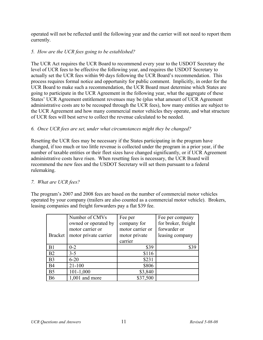operated will not be reflected until the following year and the carrier will not need to report them currently.

## *5. How are the UCR fees going to be established?*

The UCR Act requires the UCR Board to recommend every year to the USDOT Secretary the level of UCR fees to be effective the following year, and requires the USDOT Secretary to actually set the UCR fees within 90 days following the UCR Board's recommendation. This process requires formal notice and opportunity for public comment. Implicitly, in order for the UCR Board to make such a recommendation, the UCR Board must determine which States are going to participate in the UCR Agreement in the following year, what the aggregate of these States' UCR Agreement entitlement revenues may be (plus what amount of UCR Agreement administrative costs are to be recouped through the UCR fees), how many entities are subject to the UCR Agreement and how many commercial motor vehicles they operate, and what structure of UCR fees will best serve to collect the revenue calculated to be needed.

## *6. Once UCR fees are set, under what circumstances might they be changed?*

Resetting the UCR fees may be necessary if the States participating in the program have changed, if too much or too little revenue is collected under the program in a prior year, if the number of taxable entities or their fleet sizes have changed significantly, or if UCR Agreement administrative costs have risen. When resetting fees is necessary, the UCR Board will recommend the new fees and the USDOT Secretary will set them pursuant to a federal rulemaking.

#### *7. What are UCR fees?*

The program's 2007 and 2008 fees are based on the number of commercial motor vehicles operated by your company (trailers are also counted as a commercial motor vehicle). Brokers, leasing companies and freight forwarders pay a flat \$39 fee.

|                | Number of CMVs        | Fee per          | Fee per company     |
|----------------|-----------------------|------------------|---------------------|
|                | owned or operated by  | company for      | for broker, freight |
|                | motor carrier or      | motor carrier or | forwarder or        |
| <b>Bracket</b> | motor private carrier | motor private    | leasing company     |
|                |                       | carrier          |                     |
| B <sub>1</sub> | $0 - 2$               | \$39             | \$39                |
| B2             | $3 - 5$               | \$116            |                     |
| B <sub>3</sub> | $6 - 20$              | \$231            |                     |
| <b>B4</b>      | $21 - 100$            | \$806            |                     |
| B <sub>5</sub> | $101 - 1,000$         | \$3,840          |                     |
| <b>B6</b>      | $1,001$ and more      | \$37,500         |                     |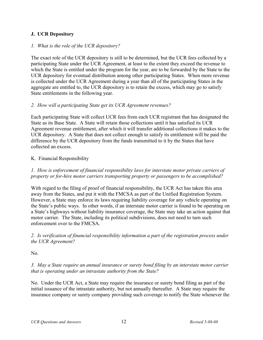## <span id="page-13-1"></span>**J. UCR Depository**

#### *1. What is the role of the UCR depository?*

The exact role of the UCR depository is still to be determined, but the UCR fees collected by a participating State under the UCR Agreement, at least to the extent they exceed the revenue to which the State is entitled under the program for the year, are to be forwarded by the State to the UCR depository for eventual distribution among other participating States. When more revenue is collected under the UCR Agreement during a year than all of the participating States in the aggregate are entitled to, the UCR depository is to retain the excess, which may go to satisfy State entitlements in the following year.

#### *2. How will a participating State get its UCR Agreement revenues?*

Each participating State will collect UCR fees from each UCR registrant that has designated the State as its Base State. A State will retain those collections until it has satisfied its UCR Agreement revenue entitlement, after which it will transfer additional collections it makes to the UCR depository. A State that does not collect enough to satisfy its entitlement will be paid the difference by the UCR depository from the funds transmitted to it by the States that have collected an excess.

#### <span id="page-13-0"></span>K. Financial Responsibility

*1. How is enforcement of financial responsibility laws for interstate motor private carriers of property or for-hire motor carriers transporting property or passengers to be accomplished?*

With regard to the filing of proof of financial responsibility, the UCR Act has taken this area away from the States, and put it with the FMCSA as part of the Unified Registration System. However, a State may enforce its laws requiring liability coverage for any vehicle operating on the State's public ways. In other words, if an interstate motor carrier is found to be operating on a State's highways without liability insurance coverage, the State may take an action against that motor carrier. The State, including its political subdivisions, does not need to turn such enforcement over to the FMCSA.

#### *2. Is verification of financial responsibility information a part of the registration process under the UCR Agreement?*

No.

*3. May a State require an annual insurance or surety bond filing by an interstate motor carrier that is operating under an intrastate authority from the State?*

No. Under the UCR Act, a State may require the insurance or surety bond filing as part of the initial issuance of the intrastate authority, but not annually thereafter. A State may require the insurance company or surety company providing such coverage to notify the State whenever the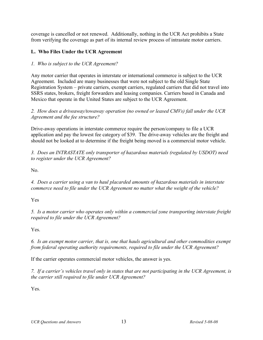coverage is cancelled or not renewed. Additionally, nothing in the UCR Act prohibits a State from verifying the coverage as part of its internal review process of intrastate motor carriers.

#### <span id="page-14-0"></span>**L. Who Files Under the UCR Agreement**

## *1. Who is subject to the UCR Agreement?*

Any motor carrier that operates in interstate or international commerce is subject to the UCR Agreement. Included are many businesses that were not subject to the old Single State Registration System – private carriers, exempt carriers, regulated carriers that did not travel into SSRS states, brokers, freight forwarders and leasing companies. Carriers based in Canada and Mexico that operate in the United States are subject to the UCR Agreement.

*2. How does a driveaway/towaway operation (no owned or leased CMVs) fall under the UCR Agreement and the fee structure?* 

Drive-away operations in interstate commerce require the person/company to file a UCR application and pay the lowest fee category of \$39. The drive-away vehicles are the freight and should not be looked at to determine if the freight being moved is a commercial motor vehicle.

*3. Does an INTRASTATE only transporter of hazardous materials (regulated by USDOT) need to register under the UCR Agreement?*

No.

*4. Does a carrier using a van to haul placarded amounts of hazardous materials in interstate commerce need to file under the UCR Agreement no matter what the weight of the vehicle?*

Yes

*5. Is a motor carrier who operates only within a commercial zone transporting interstate freight required to file under the UCR Agreement?*

Yes.

*6. Is an exempt motor carrier, that is, one that hauls agricultural and other commodities exempt from federal operating authority requirements, required to file under the UCR Agreement?*

If the carrier operates commercial motor vehicles, the answer is yes.

*7. If a carrier's vehicles travel only in states that are not participating in the UCR Agreement, is the carrier still required to file under UCR Agreement?*

Yes.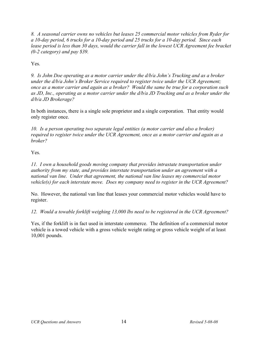*8. A seasonal carrier owns no vehicles but leases 25 commercial motor vehicles from Ryder for a 10-day period, 6 trucks for a 10-day period and 25 trucks for a 10-day period. Since each lease period is less than 30 days, would the carrier fall in the lowest UCR Agreement fee bracket (0-2 category) and pay \$39.* 

Yes.

*9. Is John Doe operating as a motor carrier under the d/b/a John's Trucking and as a broker under the d/b/a John's Broker Service required to register twice under the UCR Agreement; once as a motor carrier and again as a broker? Would the same be true for a corporation such as JD, Inc., operating as a motor carrier under the d/b/a JD Trucking and as a broker under the d/b/a JD Brokerage?*

In both instances, there is a single sole proprietor and a single corporation. That entity would only register once.

*10. Is a person operating two separate legal entities (a motor carrier and also a broker) required to register twice under the UCR Agreement, once as a motor carrier and again as a broker?*

Yes.

*11. I own a household goods moving company that provides intrastate transportation under authority from my state, and provides interstate transportation under an agreement with a national van line. Under that agreement, the national van line leases my commercial motor vehicle(s) for each interstate move. Does my company need to register in the UCR Agreement?*

No. However, the national van line that leases your commercial motor vehicles would have to register.

*12. Would a towable forklift weighing 13,000 lbs need to be registered in the UCR Agreement?* 

Yes, if the forklift is in fact used in interstate commerce. The definition of a commercial motor vehicle is a towed vehicle with a gross vehicle weight rating or gross vehicle weight of at least 10,001 pounds.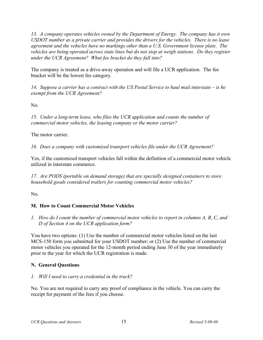*13. A company operates vehicles owned by the Department of Energy. The company has it own USDOT number as a private carrier and provides the drivers for the vehicles. There is no lease agreement and the vehicles have no markings other than a U.S. Government license plate. The vehicles are being operated across state lines but do not stop at weigh stations. Do they register under the UCR Agreement? What fee bracket do they fall into?*

The company is treated as a drive-away operation and will file a UCR application. The fee bracket will be the lowest fee category.

*14. Suppose a carrier has a contract with the US Postal Service to haul mail interstate – is he exempt from the UCR Agreement?*

No.

*15. Under a long-term lease, who files the UCR application and counts the number of commercial motor vehicles, the leasing company or the motor carrier?*

The motor carrier.

*16. Does a company with customized transport vehicles file under the UCR Agreement?*

Yes, if the customized transport vehicles fall within the definition of a commercial motor vehicle utilized in interstate commerce.

*17. Are PODS (portable on demand storage) that are specially designed containers to store household goods considered trailers for counting commercial motor vehicles?*

No.

## <span id="page-16-1"></span>**M. How to Count Commercial Motor Vehicles**

*1. How do I count the number of commercial motor vehicles to report in columns A, B, C, and D of Section 4 on the UCR application form?* 

You have two options: (1) Use the number of commercial motor vehicles listed on the last MCS-150 form you submitted for your USDOT number; or (2) Use the number of commercial motor vehicles you operated for the 12-month period ending June 30 of the year immediately prior to the year for which the UCR registration is made.

#### <span id="page-16-0"></span>**N. General Questions**

#### *1. Will I need to carry a credential in the truck?*

No. You are not required to carry any proof of compliance in the vehicle. You can carry the receipt for payment of the fees if you choose.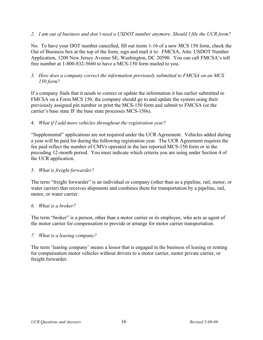#### *2. I am out of business and don't need a USDOT number anymore. Should I file the UCR form?*

No. To have your DOT number cancelled, fill out items 1-16 of a new MCS 150 form, check the Out of Business box at the top of the form, sign and mail it to: FMCSA, Attn: USDOT Number Application, 1200 New Jersey Avenue SE, Washington, DC 20590. You can call FMCSA's toll free number at 1-800-832-5660 to have a MCS-150 form mailed to you.

#### *3. How does a company correct the information previously submitted to FMCSA on an MCS 150 form?*

If a company finds that it needs to correct or update the information it has earlier submitted to FMCSA on a Form MCS 150, the company should go to and update the system using their previously assigned pin number or print the MCS-150 form and submit to FMCSA (or the carrier's base state IF the base state processes MCS-150s).

#### 4. *What if I add more vehicles throughout the registration year?*

"Supplemental" applications are not required under the UCR Agreement. Vehicles added during a year will be paid for during the following registration year. The UCR Agreement requires the fee paid reflect the number of CMVs operated in the last reported MCS-150 form or in the preceding 12-month period. You must indicate which criteria you are using under Section 4 of the UCR application.

#### *5. What is freight forwarder?*

The term "freight forwarder" is an individual or company (other than as a pipeline, rail, motor, or water carrier) that receives shipments and combines them for transportation by a pipeline, rail, motor, or water carrier.

#### *6. What is a broker?*

The term "broker" is a person, other than a motor carrier or its employee, who acts as agent of the motor carrier for compensation to provide or arrange for motor carrier transportation.

#### *7. What is a leasing company?*

The term 'leasing company' means a lessor that is engaged in the business of leasing or renting for compensation motor vehicles without drivers to a motor carrier, motor private carrier, or freight forwarder.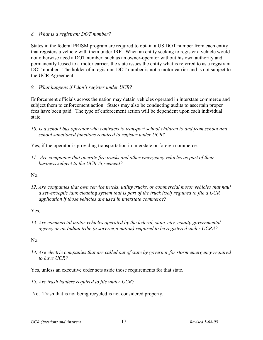#### *8. What is a registrant DOT number?*

States in the federal PRISM program are required to obtain a US DOT number from each entity that registers a vehicle with them under IRP. When an entity seeking to register a vehicle would not otherwise need a DOT number, such as an owner-operator without his own authority and permanently leased to a motor carrier, the state issues the entity what is referred to as a registrant DOT number. The holder of a registrant DOT number is not a motor carrier and is not subject to the UCR Agreement.

#### *9. What happens if I don't register under UCR?*

Enforcement officials across the nation may detain vehicles operated in interstate commerce and subject them to enforcement action. States may also be conducting audits to ascertain proper fees have been paid. The type of enforcement action will be dependent upon each individual state.

*10. Is a school bus operator who contracts to transport school children to and from school and school sanctioned functions required to register under UCR?* 

Yes, if the operator is providing transportation in interstate or foreign commerce.

*11. Are companies that operate fire trucks and other emergency vehicles as part of their business subject to the UCR Agreement?*

N<sub>0</sub>

*12. Are companies that own service trucks, utility trucks, or commercial motor vehicles that haul a sewer/septic tank cleaning system that is part of the truck itself required to file a UCR application if those vehicles are used in interstate commerce?*

Yes.

*13. Are commercial motor vehicles operated by the federal, state, city, county governmental agency or an Indian tribe (a sovereign nation) required to be registered under UCRA?*

No.

- *14. Are electric companies that are called out of state by governor for storm emergency required to have UCR?*
- Yes, unless an executive order sets aside those requirements for that state.
- <span id="page-18-1"></span>*15. Are trash haulers required to file under UCR?*
- <span id="page-18-0"></span>No. Trash that is not being recycled is not considered property.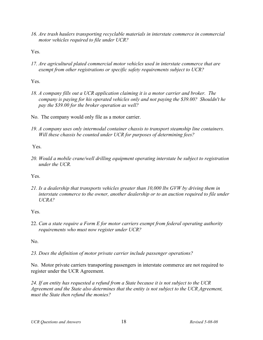*16. Are trash haulers transporting recyclable materials in interstate commerce in commercial motor vehicles required to file under UCR?*

<span id="page-19-0"></span>Yes.

*17. Are agricultural plated commercial motor vehicles used in interstate commerce that are exempt from other registrations or specific safety requirements subject to UCR?*

Yes.

- *18. A company fills out a UCR application claiming it is a motor carrier and broker. The company is paying for his operated vehicles only and not paying the \$39.00? Shouldn't he pay the \$39.00 for the broker operation as well?*
- No. The company would only file as a motor carrier.
- *19. A company uses only intermodal container chassis to transport steamship line containers. Will these chassis be counted under UCR for purposes of determining fees?*

Yes.

*20. Would a mobile crane/well drilling equipment operating interstate be subject to registration under the UCR.*

Yes.

*21. Is a dealership that transports vehicles greater than 10,000 lbs GVW by driving them in interstate commerce to the owner, another dealership or to an auction required to file under UCRA?* 

Yes.

22. *Can a state require a Form E for motor carriers exempt from federal operating authority requirements who must now register under UCR?*

No.

*23. Does the definition of motor private carrier include passenger operations?*

No. Motor private carriers transporting passengers in interstate commerce are not required to register under the UCR Agreement.

*24. If an entity has requested a refund from a State because it is not subject to the UCR Agreement and the State also determines that the entity is not subject to the UCR Agreement, must the State then refund the monies?*